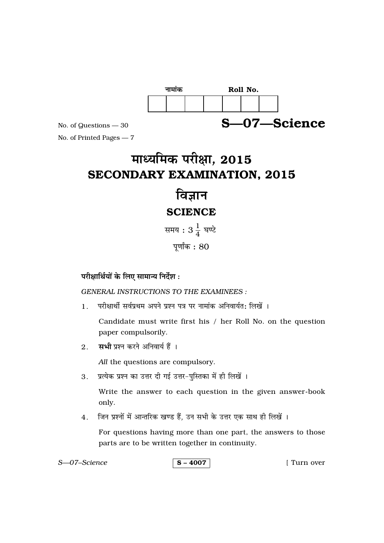

No. of Questions - 30

No. of Printed Pages - 7

# माध्यमिक परीक्षा, 2015 **SECONDARY EXAMINATION, 2015**

## विज्ञान **SCIENCE**

समय :  $3\frac{1}{4}$  घण्टे

पूर्णांक $: 80$ 

### परीक्षार्थियों के लिए सामान्य निर्देश:

**GENERAL INSTRUCTIONS TO THE EXAMINEES:** 

परीक्षार्थी सर्वप्रथम अपने प्रश्न पत्र पर नामांक अनिवार्यत: लिखें ।  $1.$ 

Candidate must write first his / her Roll No. on the question paper compulsorily.

सभी प्रश्न करने अनिवार्य हैं ।  $2.$ 

All the questions are compulsory.

प्रत्येक प्रश्न का उत्तर दी गई उत्तर-पुस्तिका में ही लिखें ।  $3.$ 

> Write the answer to each question in the given answer-book only.

जिन प्रश्नों में आन्तरिक खण्ड हैं, उन सभी के उत्तर एक साथ ही लिखें ।  $\overline{4}$ .

For questions having more than one part, the answers to those parts are to be written together in continuity.

| S-07-Science | $\sqrt{5} - 4007$ | [ Turn over |
|--------------|-------------------|-------------|
|--------------|-------------------|-------------|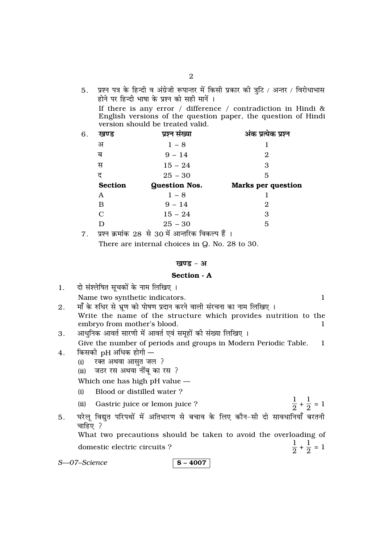5. प्रश्न पत्र के हिन्दी व अंग्रेजी रूपान्तर में किसी प्रकार की त्रुटि / अन्तर / विरोधाभास होने पर हिन्दी भाषा के प्रश्न को सही मानें । If there is any error / difference / contradiction in Hindi & English versions of the question paper, the question of Hindi version should be treated valid.

| 6. | खण्ड           | प्रश्न संख्या        | अंक प्रत्येक प्रश्न       |
|----|----------------|----------------------|---------------------------|
|    | अ              | $1 - 8$              |                           |
|    | ब              | $9 - 14$             | 2                         |
|    | स              | $15 - 24$            | 3                         |
|    | द              | $25 - 30$            | 5                         |
|    | <b>Section</b> | <b>Question Nos.</b> | <b>Marks per question</b> |
|    | A              | $1 - 8$              |                           |
|    | в              | $9 - 14$             | 2                         |
|    | $\mathbf C$    | $15 - 24$            | 3                         |
|    | D              | $25 - 30$            | 5                         |
|    |                |                      |                           |

 $7.$  प्रश्न क्रमांक 28 से 30 में आन्तरिक विकल्प हैं । There are internal choices in Q. No. 28 to 30.

#### खण्ड - अ

#### Section - A

|    | 1. दो संश्लेषित सूचकों के नाम लिखिए ।                                |  |
|----|----------------------------------------------------------------------|--|
|    | Name two synthetic indicators.                                       |  |
| 2. | माँ के रुधिर से भ्रूण को पोषण प्रदान करने वाली संरचना का नाम लिखिए । |  |

- Write the name of the structure which provides nutrition to the embryo from mother's blood.
- आधुनिक आवर्त सारणी में आवर्त एवं समूहों की संख्या लिखिए । 3. Give the number of periods and groups in Modern Periodic Table.  $\mathbf{1}$
- किसकी pH अधिक होगी  $4.$ 
	- रक्त अथवा आसुत जल ?  $(i)$
	- जठर रस अथवा नींबू का रस ?  $(ii)$

Which one has high pH value -

- Blood or distilled water?  $(i)$
- $\frac{1}{2} + \frac{1}{2} = 1$  $(ii)$ Gastric juice or lemon juice ?

 $\frac{1}{2} + \frac{1}{2} = 1$ 

घरेलू विद्युत परिपथों में अतिभारण से बचाव के लिए कौन-सी दो सावधानियाँ बरतनी  $5<sub>1</sub>$ चाहिए ? What two precautions should be taken to avoid the overloading of

domestic electric circuits?

S-07-Science

 $S - 4007$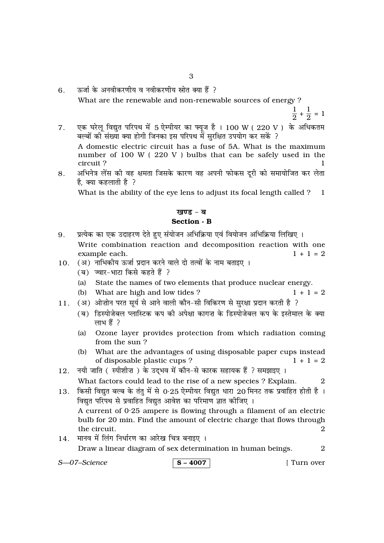- ऊर्जा के अनवीकरणीय व नवीकरणीय स्रोत क्या हैं ?  $6<sub>1</sub>$ What are the renewable and non-renewable sources of energy?
	- $\frac{1}{2} + \frac{1}{2} = 1$
- एक घरेलू विद्युत परिपथ में 5 ऐम्पीयर का फ्यूज है । 100 W (220 V) के अधिकतम  $7<sup>1</sup>$ रन गरेर्दू स्वयुग्ग गरेरात में छाड़ सारा सामार्ग से स्वयुग्ग पर पार्ट कर सकें ?<br>बल्बों की संख्या क्या होगी जिनका इस परिपथ में सुरक्षित उपयोग कर सकें ?

A domestic electric circuit has a fuse of 5A. What is the maximum number of 100 W (220 V) bulbs that can be safely used in the circuit?

अभिनेत्र लेंस की वह क्षमता जिसके कारण वह अपनी फोकस दूरी को समायोजित कर लेता 8. है. क्या कहलाती है ?

What is the ability of the eye lens to adjust its focal length called ? 1

#### खण्ड - ब Section - B

- प्रत्येक का एक उदाहरण देते हुए संयोजन अभिक्रिया एवं वियोजन अभिक्रिया लिखिए । 9. Write combination reaction and decomposition reaction with one example each.  $1 + 1 = 2$
- 10. (अ) नाभिकीय ऊर्जा प्रदान करने वाले दो तत्वों के नाम बताइए ।
	- (ब) ज्वार-भाटा किसे कहते हैं ?
	- (a) State the names of two elements that produce nuclear energy.
	- (b) What are high and low tides?
- (अ) ओज़ोन परत सूर्य से आने वाली कौन-सी विकिरण से सुरक्षा प्रदान करती है ?  $11.$ 
	- (ब) डिस्पोजेबल प्लास्टिक कप की अपेक्षा कागज़ के डिस्पोजेबल कप के इस्तेमाल के क्या लाभ हैं ?
	- $(a)$ Ozone layer provides protection from which radiation coming from the sun?
	- (b) What are the advantages of using disposable paper cups instead  $1 + 1 = 2$ of disposable plastic cups?
- 12. नयी जाति (स्पीशीज़) के उदभव में कौन-से कारक सहायक हैं ? समझाइए । What factors could lead to the rise of a new species ? Explain.
- 13. किसी विद्युत बल्ब के तंतु में से 0·25 ऐम्पीयर विद्युत धारा 20 मिनट तक प्रवाहित होती है । विद्युत परिपथ से प्रवाहित विद्युत आवेश का परिमाण ज्ञात कोजिए ।

A current of  $0.25$  ampere is flowing through a filament of an electric bulb for 20 min. Find the amount of electric charge that flows through the circuit.  $\Omega$ 

14. मानव में लिंग निर्धारण का आरेख चित्र बनाइए । Draw a linear diagram of sex determination in human beings. 2

S-07-Science

#### $S - 4007$

[ Turn over

 $1 + 1 = 2$ 

 $\overline{2}$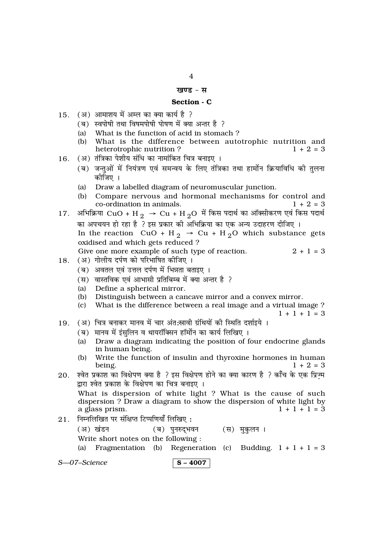#### खण्ड - स

#### Section - C

- 15. (अ) आमाशय में अम्ल का क्या कार्य है ?
	- (ब) स्वपोषी तथा विषमपोषी पोषण में क्या अन्तर है ?
	- What is the function of acid in stomach?  $(a)$
	- (b) What is the difference between autotrophic nutrition and heterotrophic nutrition?  $1 + 2 = 3$
- (अ) तंत्रिका पेशीय संधि का नामांकित चित्र बनाइए ।  $16.$ 
	- (ब) जन्तुओं में नियंत्रण एवं समन्वय के लिए तंत्रिका तथा हार्मोन क्रियाविधि की तुलना कोजिए ।
	- (a) Draw a labelled diagram of neuromuscular junction.
	- Compare nervous and hormonal mechanisms for control and  $(b)$ co-ordination in animals.  $1 + 2 = 3$
- अभिक्रिया CuO + H  $_2 \rightarrow$  Cu + H  $_2$ O में किस पदार्थ का ऑक्सीकरण एवं किस पदार्थ 17. का अपचयन हो रहा है ? इस प्रकार की अभिक्रिया का एक अन्य उदाहरण दीजिए । In the reaction  $CuO + H_2 \rightarrow Cu + H_2O$  which substance gets oxidised and which gets reduced? Give one more example of such type of reaction.  $2 + 1 = 3$
- 18. (अ) गोलीय दर्पण को परिभाषित कीजिए ।
	- (ब) अवतल एवं उत्तल दर्पण में भिन्नता बताइए ।
	- (स) वास्तविक एवं आभासी प्रतिबिम्ब में क्या अन्तर है ?
	- (a) Define a spherical mirror.
	- Distinguish between a cancave mirror and a convex mirror.  $(b)$
	- (c) What is the difference between a real image and a virtual image ?
		- $1 + 1 + 1 = 3$
- (अ) चित्र बनाकर मानव में चार अंत:स्रावी ग्रंथियों की स्थिति दर्शाइये । 19.
	- (ब) मानव में इंसुलिन व थायरॉक्सिन हॉर्मोन का कार्य लिखिए ।
	- Draw a diagram indicating the position of four endocrine glands  $(a)$ in human being.
	- Write the function of insulin and thyroxine hormones in human  $(b)$ being.  $1 + 2 = 3$
- श्वेत प्रकाश का विक्षेपण क्या है ? इस विक्षेपण होने का क्या कारण है ? काँच के एक प्रिज्म 20. द्रारा श्वेत प्रकाश के विक्षेपण का चित्र बनाइए ।

What is dispersion of white light ? What is the cause of such dispersion ? Draw a diagram to show the dispersion of white light by a glass prism.  $1 + 1 + 1 = 3$ 

 $21.$  निम्नलिखित पर संक्षिप्त टिप्पणियाँ लिखिए:

(ब) पुनरुद्भवन (अ) खंडन (स) मुकुलन । Write short notes on the following :

Fragmentation (b) Regeneration (c) Budding.  $1 + 1 + 1 = 3$  $(a)$ 

S-07-Science

$$
\mid {\bf S-4007}\mid
$$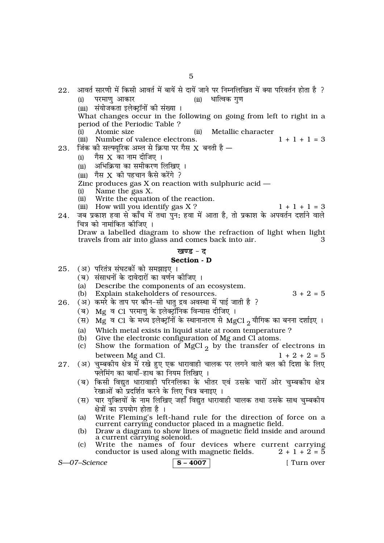- आवर्त सारणी में किसी आवर्त में बायें से दायें जाने पर निम्नलिखित में क्या परिवर्तन होता है ?  $22<sub>1</sub>$ परमाण आकार (ii) धात्विक गुण  $(i)$ (iii) संयोजकता इलेक्टॉनों की संख्या । What changes occur in the following on going from left to right in a period of the Periodic Table ? Atomic size  $(ii)$ Metallic character  $(i)$ 
	- $1 + 1 + 1 = 3$ (iii) Number of valence electrons.
- 23. जिंक की सल्फ्यूरिक अम्ल से क्रिया पर गैस X बनती है  $-$ 
	- गैस  $X$  का नाम दीजिए ।  $(i)$
	- (ii) अभिक्रिया का समीकरण लिखिए ।
	- (iii) गैस X की पहचान कैसे करेंगे ?
	- Zinc produces gas  $X$  on reaction with sulphuric acid  $-$
	- Name the gas X.  $(i)$
	- Write the equation of the reaction.  $(ii)$ (iii) How will you identify gas X?
- $1 + 1 + 1 = 3$
- जब प्रकाश हवा से काँच में तथा पन: हवा में आता है, तो प्रकाश के अपवर्तन दर्शाने वाले 24. चित्र को नामांकित कीजिए ।

Draw a labelled diagram to show the refraction of light when light travels from air into glass and comes back into air.

#### खण्ड $-$  ट

#### Section - D

- $25.$ (अ) परितंत्र संघटकों को समझाइए ।
	- (ब) संसाधनों के दावेदारों का वर्णन कीजिए ।
	- Describe the components of an ecosystem.  $(a)$
	- Explain stakeholders of resources.  $(b)$

 $3 + 2 = 5$ 

- (अ) कमरे के ताप पर कौन-सी धातु द्रव अवस्था में पाई जाती है ?  $26$ 
	-
	- (ब) Mg व Cl परमाणु के इलेक्ट्रॉनिक विन्यास दीजिए । (स) Mg व Cl के मध्य इलेक्ट्रॉनों के स्थानान्तरण से MgCl 2 यौगिक का बनना दर्शाइए ।
	- Which metal exists in liquid state at room temperature?  $(a)$
	- $(b)$ Give the electronic configuration of Mg and Cl atoms.
	- Show the formation of MgCl<sub>2</sub> by the transfer of electrons in  $(c)$ between Mg and Cl.  $1 + 2 + 2 = 5$
- (अ) चुम्बकीय क्षेत्र में रखे हुए एक धारावाही चालक पर लगने वाले बल की दिशा के लिए  $27<sub>1</sub>$ फ्लेमिंग का बायाँ-हाथ का नियम लिखिए ।
	- (ब) किसी विद्युत धारावाही परिनलिका के भीतर एवं उसके चारों ओर चुम्बकीय क्षेत्र रेखाओं को प्रदर्शित करने के लिए चित्र बनाइए ।
	- (स) चार युक्तियों के नाम लिखिए जहाँ विद्युत धारावाही चालक तथा उसके साथ चुम्बकीय क्षेत्रों का उपयोग होता है ।
	- Write Fleming's left-hand rule for the direction of force on a  $(a)$ current carrying conductor placed in a magnetic field.
	- Draw a diagram to show lines of magnetic field inside and around  $(b)$ a current carrying solenoid.
	- Write the names of four devices where current carrying  $(c)$  $2 + 1 + 2 = 5$ conductor is used along with magnetic fields.

S-07-Science

#### $S - 4007$

[ Turn over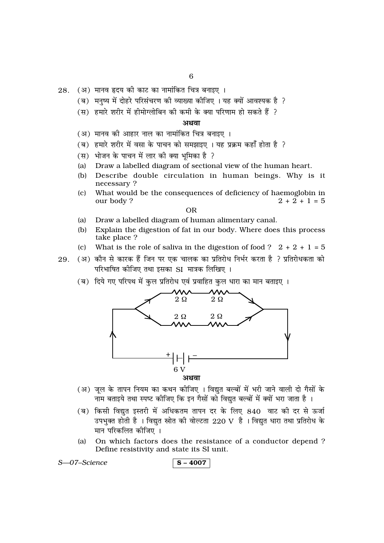- $28.$  (अ) मानव हृदय की काट का नामांकित चित्र बनाइए ।
	- (ब) मनुष्य में दोहरे परिसंचरण की व्याख्या कीजिए । यह क्यों आवश्यक है ?
	- (स) हमारे शरीर में हीमोग्लोबिन की कमी के क्या परिणाम हो सकते हैं ?

#### अथवा

- (अ) मानव की आहार नाल का नामांकित चित्र बनाइए ।
- (ब) हमारे शरीर में वसा के पाचन को समझाइए । यह प्रक्रम कहाँ होता है ?
- (स) भोजन के पाचन में लार की क्या भूमिका है ?
- Draw a labelled diagram of sectional view of the human heart.  $(a)$
- Describe double circulation in human beings. Why is it  $(h)$ necessary?
- What would be the consequences of deficiency of haemoglobin in  $(c)$ our body?  $2 + 2 + 1 = 5$

#### **OR**

- $(a)$ Draw a labelled diagram of human alimentary canal.
- (b) Explain the digestion of fat in our body. Where does this process take place ?
- What is the role of saliva in the digestion of food ?  $2 + 2 + 1 = 5$  $(c)$
- (अ) कौन से कारक हैं जिन पर एक चालक का प्रतिरोध निर्भर करता है ? प्रतिरोधकता को 2.9 परिभाषित कीजिए तथा इसका SI मात्रक लिखिए ।
	- (ब) दिये गए परिपथ में कुल प्रतिरोध एवं प्रवाहित कुल धारा का मान बताइए ।



- (अ) जुल के तापन नियम का कथन कीजिए । विद्युत बल्बों में भरी जाने वाली दो गैसों के नाम बताइये तथा स्पष्ट कीजिए कि इन गैसों को विद्यत बल्बों में क्यों भरा जाता है ।
- (ब) किसी विद्युत इस्तरी में अधिकतम तापन दर के लिए 840 वाट की दर से ऊर्जा उपभक्त होती है । विद्यत स्रोत की वोल्टता 220 V है । विद्यत धारा तथा प्रतिरोध के मान परिकलित कीजिए ।
- On which factors does the resistance of a conductor depend?  $(a)$ Define resistivity and state its SI unit.

```
S-07-Science
```

$$
\mid S-4007 \mid
$$